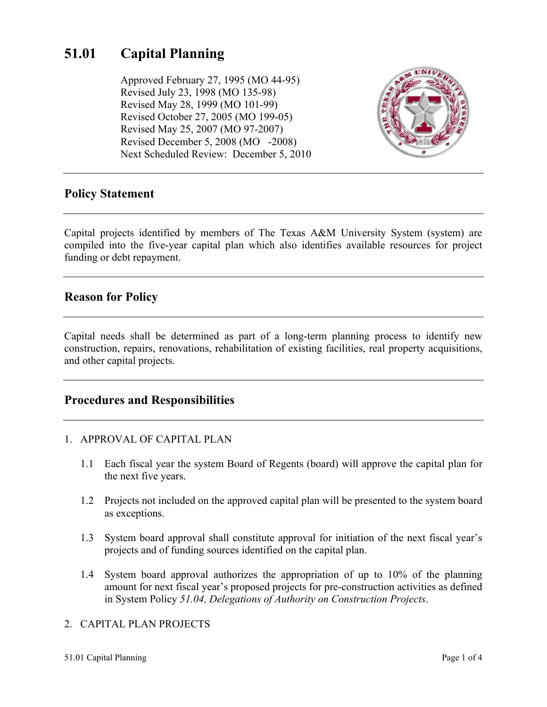# **51.01 Capital Planning**

Approved February 27, 1995 (MO 44-95) Revised July 23, 1998 (MO 135-98) Revised May 28, 1999 (MO 101-99) Revised October 27, 2005 (MO 199-05) Revised May 25, 2007 (MO 97-2007) Revised December 5, 2008 (MO -2008) Next Scheduled Review: December 5, 2010



## **Policy Statement**

Capital projects identified by members of The Texas A&M University System (system) are compiled into the five-year capital plan which also identifies available resources for project funding or debt repayment.

## **Reason for Policy**

Capital needs shall be determined as part of a long-term planning process to identify new construction, repairs, renovations, rehabilitation of existing facilities, real property acquisitions, and other capital projects.

## **Procedures and Responsibilities**

#### 1. APPROVAL OF CAPITAL PLAN

- 1.1 Each fiscal year the system Board of Regents (board) will approve the capital plan for the next five years.
- 1.2 Projects not included on the approved capital plan will be presented to the system board as exceptions.
- 1.3 System board approval shall constitute approval for initiation of the next fiscal year's projects and of funding sources identified on the capital plan.
- 1.4 System board approval authorizes the appropriation of up to 10% of the planning amount for next fiscal year's proposed projects for pre-construction activities as defined in System Policy *51.04, Delegations of Authority on Construction Projects*.

### 2. CAPITAL PLAN PROJECTS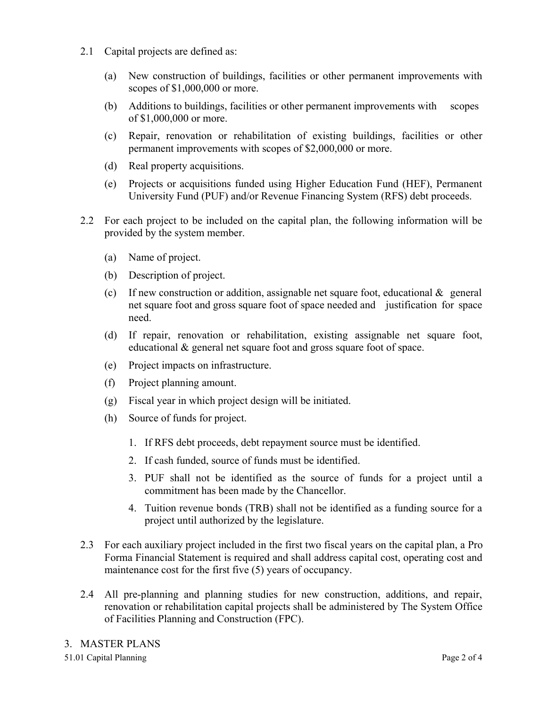- 2.1 Capital projects are defined as:
	- (a) New construction of buildings, facilities or other permanent improvements with scopes of \$1,000,000 or more.
	- (b) Additions to buildings, facilities or other permanent improvements with scopes of \$1,000,000 or more.
	- (c) Repair, renovation or rehabilitation of existing buildings, facilities or other permanent improvements with scopes of \$2,000,000 or more.
	- (d) Real property acquisitions.
	- (e) Projects or acquisitions funded using Higher Education Fund (HEF), Permanent University Fund (PUF) and/or Revenue Financing System (RFS) debt proceeds.
- 2.2 For each project to be included on the capital plan, the following information will be provided by the system member.
	- (a) Name of project.
	- (b) Description of project.
	- (c) If new construction or addition, assignable net square foot, educational  $\&$  general net square foot and gross square foot of space needed and justification for space need.
	- (d) If repair, renovation or rehabilitation, existing assignable net square foot, educational & general net square foot and gross square foot of space.
	- (e) Project impacts on infrastructure.
	- (f) Project planning amount.
	- (g) Fiscal year in which project design will be initiated.
	- (h) Source of funds for project.
		- 1. If RFS debt proceeds, debt repayment source must be identified.
		- 2. If cash funded, source of funds must be identified.
		- 3. PUF shall not be identified as the source of funds for a project until a commitment has been made by the Chancellor.
		- 4. Tuition revenue bonds (TRB) shall not be identified as a funding source for a project until authorized by the legislature.
- 2.3 For each auxiliary project included in the first two fiscal years on the capital plan, a Pro Forma Financial Statement is required and shall address capital cost, operating cost and maintenance cost for the first five (5) years of occupancy.
- 2.4 All pre-planning and planning studies for new construction, additions, and repair, renovation or rehabilitation capital projects shall be administered by The System Office of Facilities Planning and Construction (FPC).

51.01 Capital Planning Page 2 of 4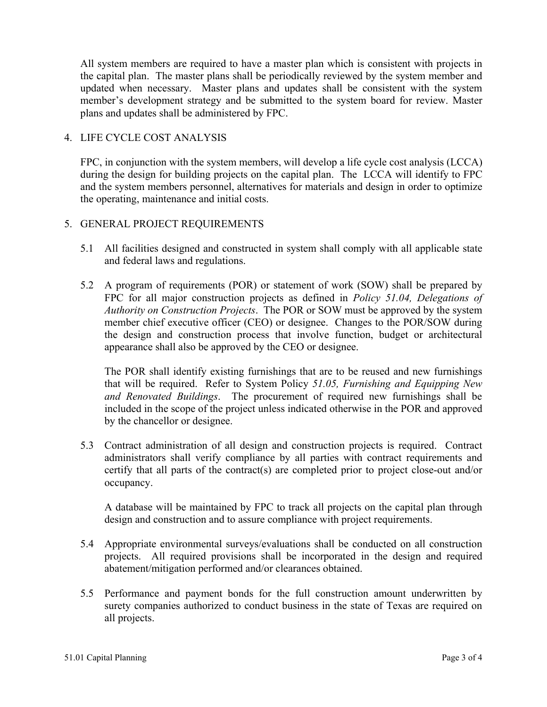All system members are required to have a master plan which is consistent with projects in the capital plan. The master plans shall be periodically reviewed by the system member and updated when necessary. Master plans and updates shall be consistent with the system member's development strategy and be submitted to the system board for review. Master plans and updates shall be administered by FPC.

#### 4. LIFE CYCLE COST ANALYSIS

FPC, in conjunction with the system members, will develop a life cycle cost analysis (LCCA) during the design for building projects on the capital plan. The LCCA will identify to FPC and the system members personnel, alternatives for materials and design in order to optimize the operating, maintenance and initial costs.

#### 5. GENERAL PROJECT REQUIREMENTS

- 5.1 All facilities designed and constructed in system shall comply with all applicable state and federal laws and regulations.
- 5.2 A program of requirements (POR) or statement of work (SOW) shall be prepared by FPC for all major construction projects as defined in *Policy 51.04, Delegations of Authority on Construction Projects*. The POR or SOW must be approved by the system member chief executive officer (CEO) or designee. Changes to the POR/SOW during the design and construction process that involve function, budget or architectural appearance shall also be approved by the CEO or designee.

The POR shall identify existing furnishings that are to be reused and new furnishings that will be required. Refer to System Policy *51.05, Furnishing and Equipping New and Renovated Buildings*. The procurement of required new furnishings shall be included in the scope of the project unless indicated otherwise in the POR and approved by the chancellor or designee.

5.3 Contract administration of all design and construction projects is required. Contract administrators shall verify compliance by all parties with contract requirements and certify that all parts of the contract(s) are completed prior to project close-out and/or occupancy.

A database will be maintained by FPC to track all projects on the capital plan through design and construction and to assure compliance with project requirements.

- 5.4 Appropriate environmental surveys/evaluations shall be conducted on all construction projects. All required provisions shall be incorporated in the design and required abatement/mitigation performed and/or clearances obtained.
- 5.5 Performance and payment bonds for the full construction amount underwritten by surety companies authorized to conduct business in the state of Texas are required on all projects.